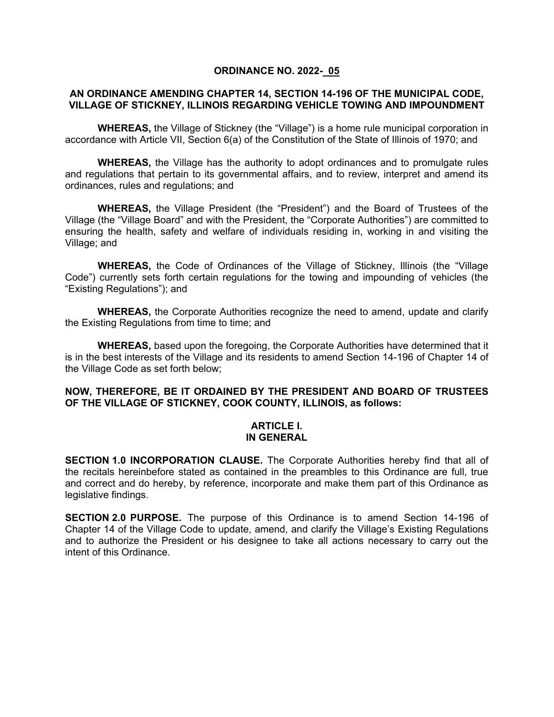## **ORDINANCE NO. 2022- 05**

## **AN ORDINANCE AMENDING CHAPTER 14, SECTION 14-196 OF THE MUNICIPAL CODE, VILLAGE OF STICKNEY, ILLINOIS REGARDING VEHICLE TOWING AND IMPOUNDMENT**

**WHEREAS,** the Village of Stickney (the "Village") is a home rule municipal corporation in accordance with Article VII, Section 6(a) of the Constitution of the State of Illinois of 1970; and

**WHEREAS,** the Village has the authority to adopt ordinances and to promulgate rules and regulations that pertain to its governmental affairs, and to review, interpret and amend its ordinances, rules and regulations; and

**WHEREAS,** the Village President (the "President") and the Board of Trustees of the Village (the "Village Board" and with the President, the "Corporate Authorities") are committed to ensuring the health, safety and welfare of individuals residing in, working in and visiting the Village; and

**WHEREAS,** the Code of Ordinances of the Village of Stickney, Illinois (the "Village Code") currently sets forth certain regulations for the towing and impounding of vehicles (the "Existing Regulations"); and

**WHEREAS,** the Corporate Authorities recognize the need to amend, update and clarify the Existing Regulations from time to time; and

**WHEREAS,** based upon the foregoing, the Corporate Authorities have determined that it is in the best interests of the Village and its residents to amend Section 14-196 of Chapter 14 of the Village Code as set forth below;

## **NOW, THEREFORE, BE IT ORDAINED BY THE PRESIDENT AND BOARD OF TRUSTEES OF THE VILLAGE OF STICKNEY, COOK COUNTY, ILLINOIS, as follows:**

#### **ARTICLE I. IN GENERAL**

**SECTION 1.0 INCORPORATION CLAUSE.** The Corporate Authorities hereby find that all of the recitals hereinbefore stated as contained in the preambles to this Ordinance are full, true and correct and do hereby, by reference, incorporate and make them part of this Ordinance as legislative findings.

**SECTION 2.0 PURPOSE.** The purpose of this Ordinance is to amend Section 14-196 of Chapter 14 of the Village Code to update, amend, and clarify the Village's Existing Regulations and to authorize the President or his designee to take all actions necessary to carry out the intent of this Ordinance.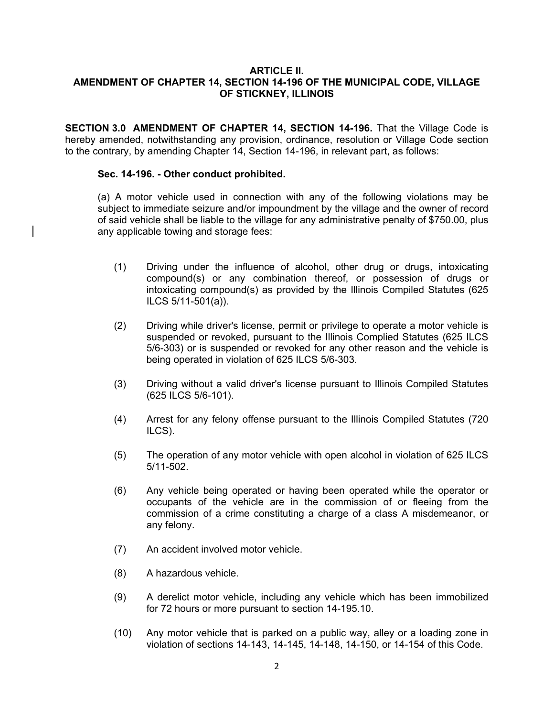## **ARTICLE II. AMENDMENT OF CHAPTER 14, SECTION 14-196 OF THE MUNICIPAL CODE, VILLAGE OF STICKNEY, ILLINOIS**

**SECTION 3.0 AMENDMENT OF CHAPTER 14, SECTION 14-196.** That the Village Code is hereby amended, notwithstanding any provision, ordinance, resolution or Village Code section to the contrary, by amending Chapter 14, Section 14-196, in relevant part, as follows:

## **Sec. 14-196. - Other conduct prohibited.**

(a) A motor vehicle used in connection with any of the following violations may be subject to immediate seizure and/or impoundment by the village and the owner of record of said vehicle shall be liable to the village for any administrative penalty of \$750.00, plus any applicable towing and storage fees:

- (1) Driving under the influence of alcohol, other drug or drugs, intoxicating compound(s) or any combination thereof, or possession of drugs or intoxicating compound(s) as provided by the Illinois Compiled Statutes (625 ILCS 5/11-501(a)).
- (2) Driving while driver's license, permit or privilege to operate a motor vehicle is suspended or revoked, pursuant to the Illinois Complied Statutes (625 ILCS 5/6-303) or is suspended or revoked for any other reason and the vehicle is being operated in violation of 625 ILCS 5/6-303.
- (3) Driving without a valid driver's license pursuant to Illinois Compiled Statutes (625 ILCS 5/6-101).
- (4) Arrest for any felony offense pursuant to the Illinois Compiled Statutes (720 ILCS).
- (5) The operation of any motor vehicle with open alcohol in violation of 625 ILCS 5/11-502.
- (6) Any vehicle being operated or having been operated while the operator or occupants of the vehicle are in the commission of or fleeing from the commission of a crime constituting a charge of a class A misdemeanor, or any felony.
- (7) An accident involved motor vehicle.
- (8) A hazardous vehicle.
- (9) A derelict motor vehicle, including any vehicle which has been immobilized for 72 hours or more pursuant to section 14-195.10.
- (10) Any motor vehicle that is parked on a public way, alley or a loading zone in violation of sections 14-143, 14-145, 14-148, 14-150, or 14-154 of this Code.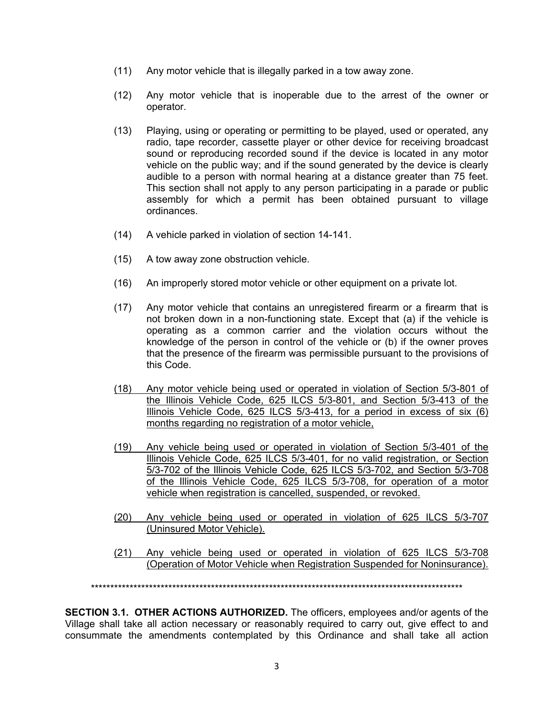- (11) Any motor vehicle that is illegally parked in a tow away zone.
- (12) Any motor vehicle that is inoperable due to the arrest of the owner or operator.
- (13) Playing, using or operating or permitting to be played, used or operated, any radio, tape recorder, cassette player or other device for receiving broadcast sound or reproducing recorded sound if the device is located in any motor vehicle on the public way; and if the sound generated by the device is clearly audible to a person with normal hearing at a distance greater than 75 feet. This section shall not apply to any person participating in a parade or public assembly for which a permit has been obtained pursuant to village ordinances.
- (14) A vehicle parked in violation of section 14-141.
- (15) A tow away zone obstruction vehicle.
- (16) An improperly stored motor vehicle or other equipment on a private lot.
- (17) Any motor vehicle that contains an unregistered firearm or a firearm that is not broken down in a non-functioning state. Except that (a) if the vehicle is operating as a common carrier and the violation occurs without the knowledge of the person in control of the vehicle or (b) if the owner proves that the presence of the firearm was permissible pursuant to the provisions of this Code.
- (18) Any motor vehicle being used or operated in violation of Section 5/3-801 of the Illinois Vehicle Code, 625 ILCS 5/3-801, and Section 5/3-413 of the Illinois Vehicle Code, 625 ILCS 5/3-413, for a period in excess of six (6) months regarding no registration of a motor vehicle,
- (19) Any vehicle being used or operated in violation of Section 5/3-401 of the Illinois Vehicle Code, 625 ILCS 5/3-401, for no valid registration, or Section 5/3-702 of the Illinois Vehicle Code, 625 ILCS 5/3-702, and Section 5/3-708 of the Illinois Vehicle Code, 625 ILCS 5/3-708, for operation of a motor vehicle when registration is cancelled, suspended, or revoked.
- (20) Any vehicle being used or operated in violation of 625 ILCS 5/3-707 (Uninsured Motor Vehicle).
- (21) Any vehicle being used or operated in violation of 625 ILCS 5/3-708 (Operation of Motor Vehicle when Registration Suspended for Noninsurance).

\*\*\*\*\*\*\*\*\*\*\*\*\*\*\*\*\*\*\*\*\*\*\*\*\*\*\*\*\*\*\*\*\*\*\*\*\*\*\*\*\*\*\*\*\*\*\*\*\*\*\*\*\*\*\*\*\*\*\*\*\*\*\*\*\*\*\*\*\*\*\*\*\*\*\*\*\*\*\*\*\*\*\*\*\*\*\*\*\*\*\*\*\*\*\*\*

**SECTION 3.1. OTHER ACTIONS AUTHORIZED.** The officers, employees and/or agents of the Village shall take all action necessary or reasonably required to carry out, give effect to and consummate the amendments contemplated by this Ordinance and shall take all action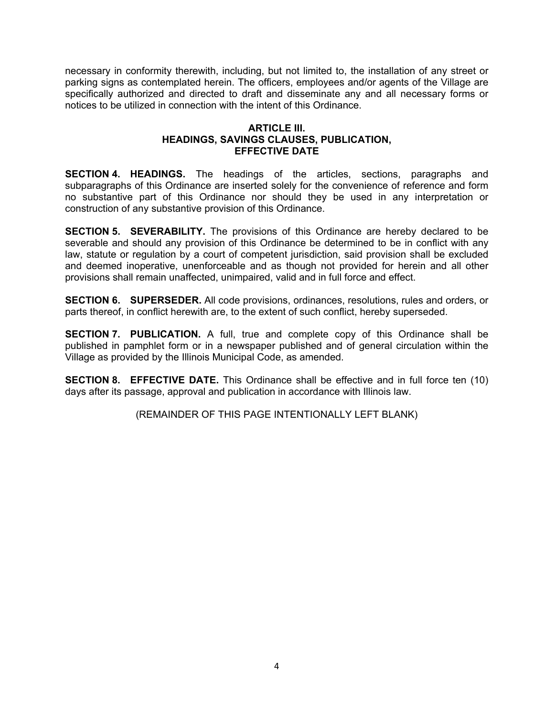necessary in conformity therewith, including, but not limited to, the installation of any street or parking signs as contemplated herein. The officers, employees and/or agents of the Village are specifically authorized and directed to draft and disseminate any and all necessary forms or notices to be utilized in connection with the intent of this Ordinance.

# **ARTICLE III. HEADINGS, SAVINGS CLAUSES, PUBLICATION, EFFECTIVE DATE**

**SECTION 4. HEADINGS.** The headings of the articles, sections, paragraphs and subparagraphs of this Ordinance are inserted solely for the convenience of reference and form no substantive part of this Ordinance nor should they be used in any interpretation or construction of any substantive provision of this Ordinance.

**SECTION 5. SEVERABILITY.** The provisions of this Ordinance are hereby declared to be severable and should any provision of this Ordinance be determined to be in conflict with any law, statute or regulation by a court of competent jurisdiction, said provision shall be excluded and deemed inoperative, unenforceable and as though not provided for herein and all other provisions shall remain unaffected, unimpaired, valid and in full force and effect.

**SECTION 6. SUPERSEDER.** All code provisions, ordinances, resolutions, rules and orders, or parts thereof, in conflict herewith are, to the extent of such conflict, hereby superseded.

**SECTION 7. PUBLICATION.** A full, true and complete copy of this Ordinance shall be published in pamphlet form or in a newspaper published and of general circulation within the Village as provided by the Illinois Municipal Code, as amended.

**SECTION 8. EFFECTIVE DATE.** This Ordinance shall be effective and in full force ten (10) days after its passage, approval and publication in accordance with Illinois law.

(REMAINDER OF THIS PAGE INTENTIONALLY LEFT BLANK)